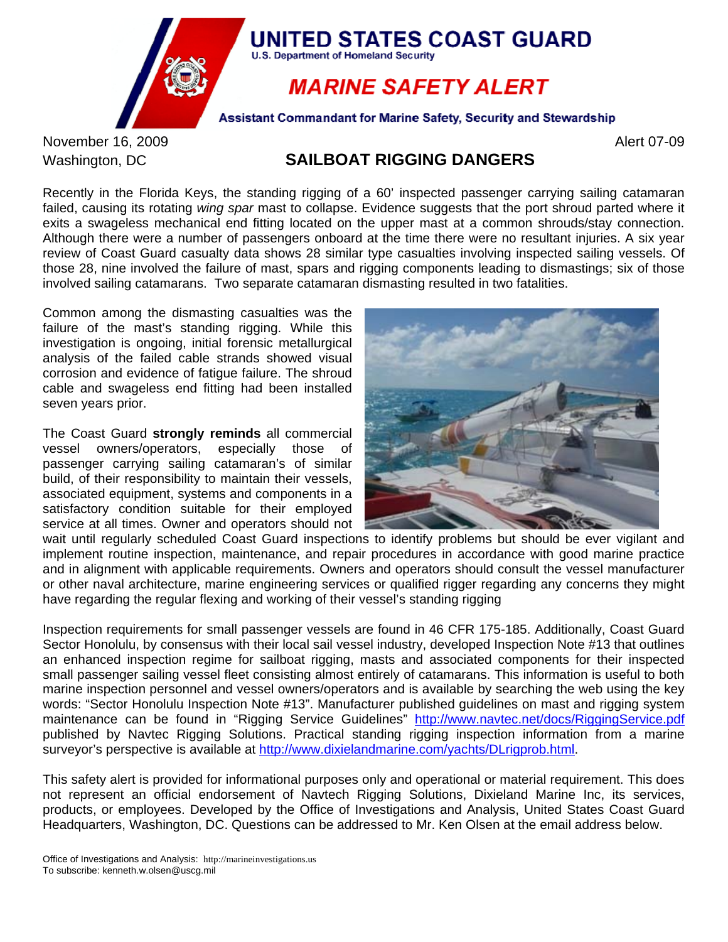

November 16, 2009 **Alert 07-09** Alert 07-09

# Washington, DC **SAILBOAT RIGGING DANGERS**

Recently in the Florida Keys, the standing rigging of a 60' inspected passenger carrying sailing catamaran failed, causing its rotating *wing spar* mast to collapse. Evidence suggests that the port shroud parted where it exits a swageless mechanical end fitting located on the upper mast at a common shrouds/stay connection. Although there were a number of passengers onboard at the time there were no resultant injuries. A six year review of Coast Guard casualty data shows 28 similar type casualties involving inspected sailing vessels. Of those 28, nine involved the failure of mast, spars and rigging components leading to dismastings; six of those involved sailing catamarans. Two separate catamaran dismasting resulted in two fatalities.

Common among the dismasting casualties was the failure of the mast's standing rigging. While this investigation is ongoing, initial forensic metallurgical analysis of the failed cable strands showed visual corrosion and evidence of fatigue failure. The shroud cable and swageless end fitting had been installed seven years prior.

The Coast Guard **strongly reminds** all commercial vessel owners/operators, especially those of passenger carrying sailing catamaran's of similar build, of their responsibility to maintain their vessels, associated equipment, systems and components in a satisfactory condition suitable for their employed service at all times. Owner and operators should not



wait until regularly scheduled Coast Guard inspections to identify problems but should be ever vigilant and implement routine inspection, maintenance, and repair procedures in accordance with good marine practice and in alignment with applicable requirements. Owners and operators should consult the vessel manufacturer or other naval architecture, marine engineering services or qualified rigger regarding any concerns they might have regarding the regular flexing and working of their vessel's standing rigging

Inspection requirements for small passenger vessels are found in 46 CFR 175-185. Additionally, Coast Guard Sector Honolulu, by consensus with their local sail vessel industry, developed Inspection Note #13 that outlines an enhanced inspection regime for sailboat rigging, masts and associated components for their inspected small passenger sailing vessel fleet consisting almost entirely of catamarans. This information is useful to both marine inspection personnel and vessel owners/operators and is available by searching the web using the key words: "Sector Honolulu Inspection Note #13". Manufacturer published guidelines on mast and rigging system maintenance can be found in "Rigging Service Guidelines" <http://www.navtec.net/docs/RiggingService.pdf> published by Navtec Rigging Solutions. Practical standing rigging inspection information from a marine surveyor's perspective is available at<http://www.dixielandmarine.com/yachts/DLrigprob.html>.

This safety alert is provided for informational purposes only and operational or material requirement. This does not represent an official endorsement of Navtech Rigging Solutions, Dixieland Marine Inc, its services, products, or employees. Developed by the Office of Investigations and Analysis, United States Coast Guard Headquarters, Washington, DC. Questions can be addressed to Mr. Ken Olsen at the email address below.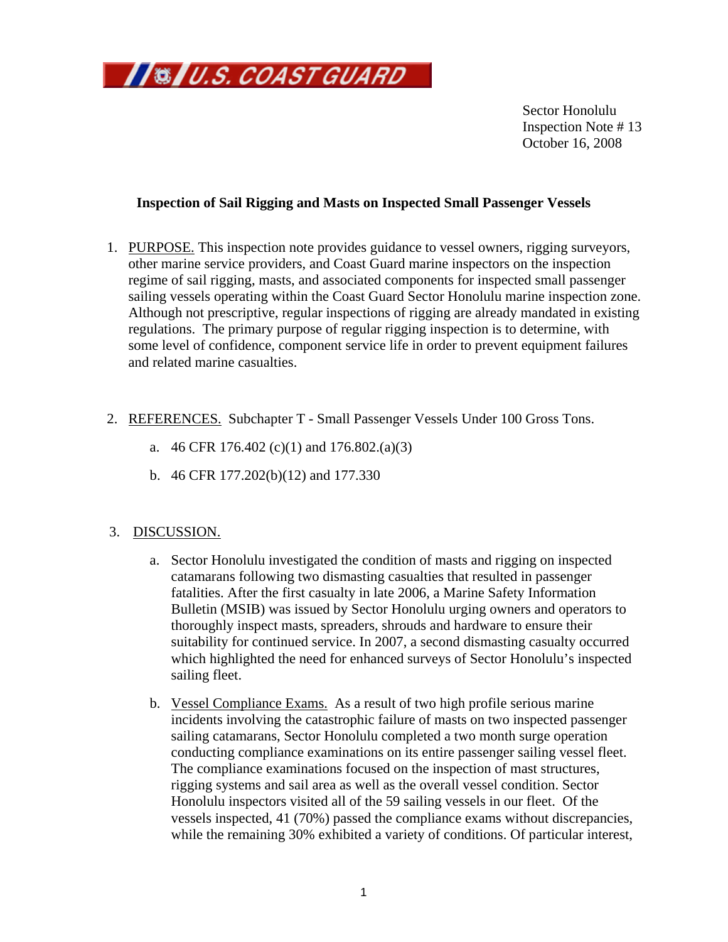

Inspection Note #13 October 16, 2008 Sector Honolulu

### **Inspection of Sail Rigging and Masts on Inspected Small Passenger Vessels**

- 1. PURPOSE. This inspection note provides guidance to vessel owners, rigging surveyors, other marine service providers, and Coast Guard marine inspectors on the inspection regime of sail rigging, masts, and associated components for inspected small passenger sailing vessels operating within the Coast Guard Sector Honolulu marine inspection zone. Although not prescriptive, regular inspections of rigging are already mandated in exis ting regulations. The primary purpose of regular rigging inspection is to determine, with some level of confidence, component service life in order to prevent equipment failures and related marine casualties.
- 2. REFERENCES. Subchapter T Small Passenger Vessels Under 100 Gross Tons.
	- a. 46 CFR 176.402 (c)(1) and 176.802.(a)(3)
	- b. 46 CFR 177.202(b)(12) and 177.330

# 3. DISCUSSION.

- a. Sector Honolulu investigated the condition of masts and rigging on inspected Bulletin (MSIB) was issued by Sector Honolulu urging owners and operators to which highlighted the need for enhanced surveys of Sector Honolulu's inspected sailing fleet. catamarans following two dismasting casualties that resulted in passenger fatalities. After the first casualty in late 2006, a Marine Safety Information thoroughly inspect masts, spreaders, shrouds and hardware to ensure their suitability for continued service. In 2007, a second dismasting casualty occurred
- b. Vessel Compliance Exams. As a result of two high profile serious marine incidents involving the catastrophic failure of masts on two inspected passeng er sailing catamarans, Sector Honolulu completed a two month surge operation conducting compliance examinations on its entire passenger sailing vessel fleet. The compliance examinations focused on the inspection of mast structures, rigging systems and sail area as well as the overall vessel condition. Sector Honolulu inspectors visited all of the 59 sailing vessels in our fleet. Of the vessels inspected, 41 (70%) passed the compliance exams without discrepancies, while the remaining 30% exhibited a variety of conditions. Of particular interest,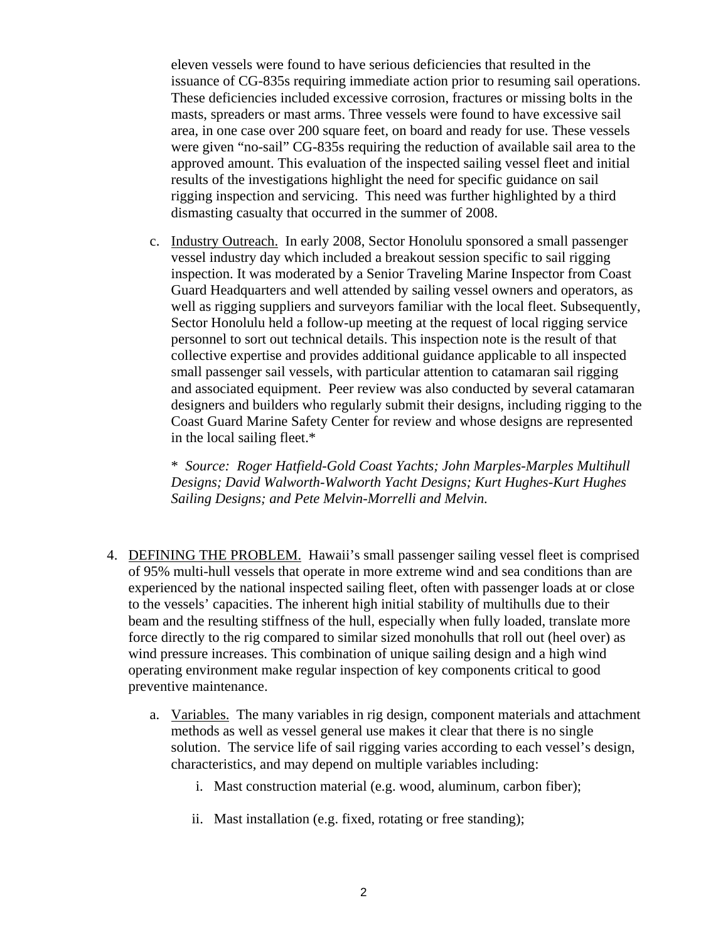issuance of CG-835s requiring immediate action prior to resuming sail operations. were given "no-sail" CG-835s requiring the reduction of available sail area to the approved amount. This evaluation of the inspected sailing vessel fleet and initial results of the investigations highlight the need for specific guidance on sail rigging inspection and servicing. This need was further highlighted by a third eleven vessels were found to have serious deficiencies that resulted in the These deficiencies included excessive corrosion, fractures or missing bolts in the masts, spreaders or mast arms. Three vessels were found to have excessive sail area, in one case over 200 square feet, on board and ready for use. These vessels dismasting casualty that occurred in the summer of 2008.

c. Industry Outreach. In early 2008, Sector Honolulu sponsored a small passenger vessel industry day which included a breakout session specific to sail rigging inspection. It was moderated by a Senior Traveling Marine Inspector from Coast Guard Headquarters and well attended by sailing vessel owners and operators, as well as rigging suppliers and surveyors familiar with the local fleet. Subsequently, Sector Honolulu held a follow-up meeting at the request of local rigging service personnel to sort out technical details. This inspection note is the result of that collective expertise and provides additional guidance applicable to all inspected small passenger sail vessels, with particular attention to catamaran sail rigging and associated equipment. Peer review was also conducted by several catamaran designers and builders who regularly submit their designs, including rigging to the Coast Guard Marine Safety Center for review and whose designs are represented in the local sailing fleet.\*

\* Source: Roger Hatfield-Gold Coast Yachts; John Marples-Marples Multihull *Designs; David Walworth-Walworth Yacht Designs; Kurt Hughes-Kurt Hughes Sailing Designs; and Pete Melvin-Morrelli and Melvin.* 

- 4. DEFINING THE PROBLEM. Hawaii's small passenger sailing vessel fleet is comprised of 95% multi-hull vessels that operate in more extreme wind and sea conditions than are experienced by the national inspected sailing fleet, often with passenger loads at or close to the vessels' capacities. The inherent high initial stability of multihulls due to their beam and the resulting stiffness of the hull, especially when fully loaded, translate mo re force directly to the rig compared to similar sized monohulls that roll out (heel over) as wind pressure increases. Th is combination of unique sailing design and a high wind operating environment make regular inspection of key components critical to good preventive maintenance.
	- a. Variables. The many variables in rig design, component materials and attachment methods as well as vessel general use makes it clear that there is no single solution. The service life of sail rigging varies according to each vessel's design, characteristics, and may depend on multiple variables including:
		- i. Mast construction material (e.g. wood, aluminum, carbon fiber);
		- ii. Mast installation (e.g. fixed, rotating or free standing);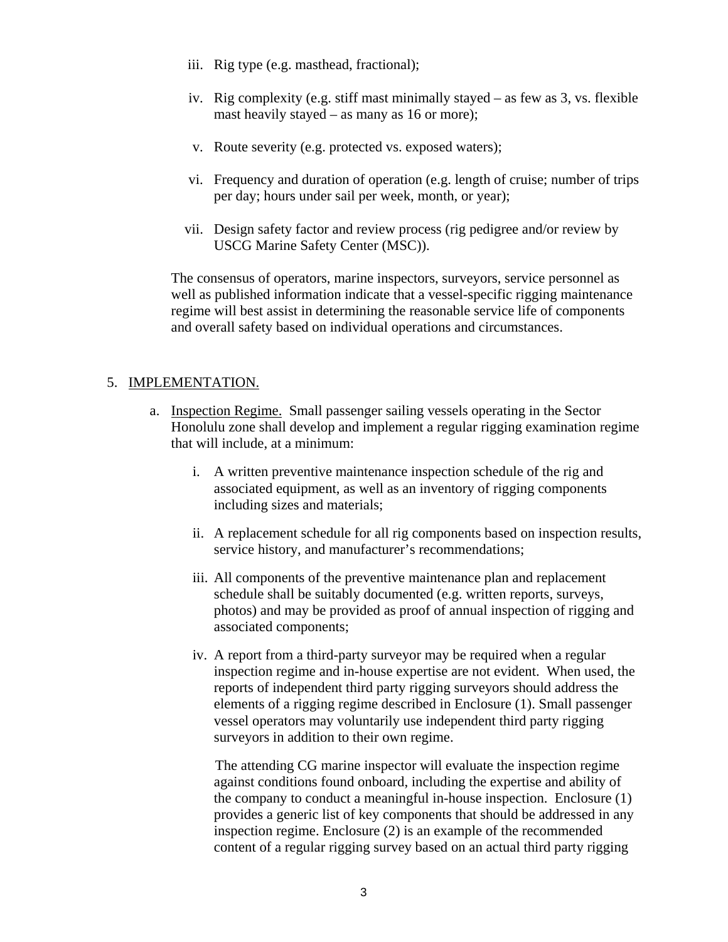- iii. Rig type (e.g. masthead, fractional);
- iv. Rig complexity (e.g. stiff mast minimally stayed  $-$  as few as 3, vs. flexible mast heavily stayed – as many as 16 or more);
- v. Route severity (e.g. protected vs. exposed waters);
- vi. Frequency and duration of operation (e.g. length of cruise; number of trips per day; hours under sail per week, month, or year);
- vii. Design safety factor and review process (rig pedigree and/or review by USCG Marine Safety Center (MSC)).

The consensus of operators, marine inspectors, surveyors, service personnel as well as published information indicate that a vessel-specific rigging maintenance regime will best assist in determining the reasonable service life of components and overall safety based on individual operations and circumstances.

### 5. IMPLEMENTATION.

- a. Inspection Regime. Small passenger sailing vessels operating in the Sector Honolulu zone shall develop and implement a regular rigging examination regime that wi ll include, at a minimum:
	- i. A written preventive maintenance inspection schedule of the rig and associated equipment, as well as an inventory of rigging components including sizes and materials;
	- ii. A replacement schedule for all rig components based on inspection results, service history, and manufacturer's recommendations;
	- iii. All components of the preventive maintenance plan and replacement schedule shall be suitably documented (e.g. written reports, surveys, photos) and may be provided as proof of annual inspection of rigging and associated components;
	- iv. A report from a third-party surveyor may be required when a regular inspection regime and in-house expertise are not evident. When used, the reports of independent third party rigging surveyors should address the elements of a rigging regime described in Enclosure (1). Small passenger vessel operators may voluntarily use independent third party rigging surveyors in addition to their own regime.

against conditions found onboard, including the expertise and ability of content of a regular rigging survey based on an actual third party rigging The attending CG marine inspector will evaluate the inspection regime the company to conduct a meaningful in-house inspection. Enclosure (1) provides a generic list of key components that should be addressed in any inspection regime. Enclosure (2) is an example of the recommended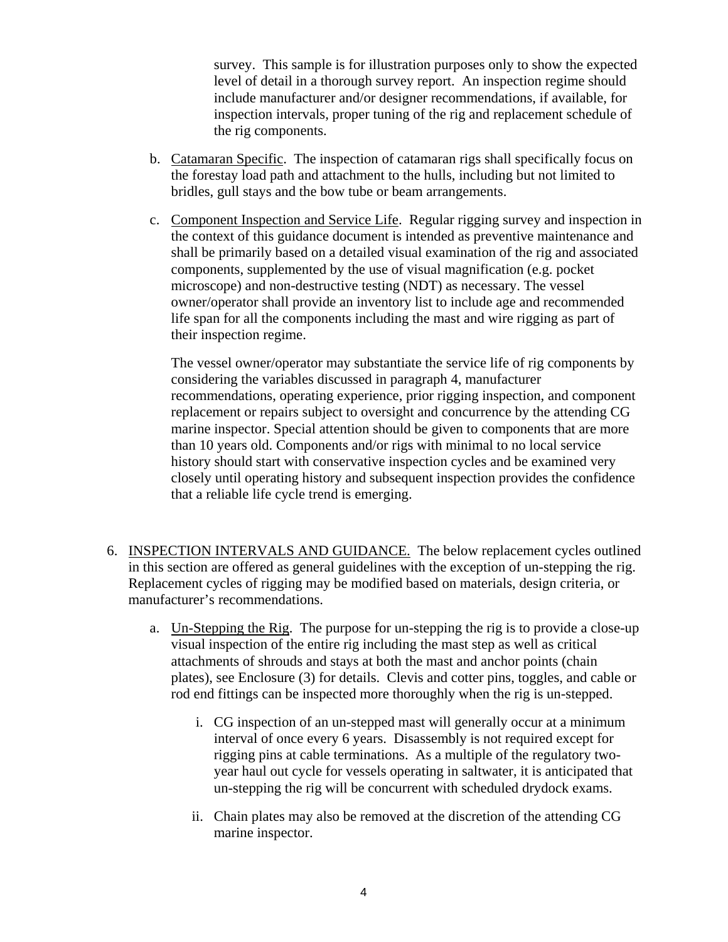level of detail in a thorough survey report. An inspection regime should include manufacturer and/or designer recommendations, if available, for survey. This sample is for illustration purposes only to show the expected inspection intervals, proper tuning of the rig and replacement schedule of the rig components.

- b. Catamaran Specific. The inspection of catamaran rigs shall specifically focus on the forestay load path and attachment to the hulls, including but not limited to bridles, gull stays and the bow tube or beam arrangements.
- c. Component Inspection and Service Life. Regular rigging survey and inspection in the context of this guidance document is intended as preventive maintenance and shall be primarily based on a detailed visual examination of the rig and associate d components, supplemented by the use of visual magnification (e.g. pocket microscope) and non-des tructive testing (NDT) as necessary. The vessel owner/operator shall provide an inventory list to include age and recommended life span for all the components including the mast and wire rigging as part of their inspection regime.

recommendations, operating experience, prior rigging inspection, and component than 10 years old. Components and/or rigs with minimal to no local service history should start with conservative inspection cycles and be examined very closely until operating history and subsequent inspection provides the confidence The vessel owner/operator may substantiate the service life of rig components by considering the variables discussed in paragraph 4, manufacturer replacement or repairs subject to oversight and concurrence by the attending CG marine inspector. Special attention should be given to components that are more that a reliable life cycle trend is emerging.

- 6. INSPECTION INTERVALS AND GUIDANCE. The below replacement cycles outlined in this section are offered as general guidelines with the exception of un-stepping the rig. Rep lacement cycles of rigging may be modified based on materials, design criteria, or manufa cturer's recommendations.
	- a. Un-Stepping the Rig. The purpose for un-stepping the rig is to provide a close-up visual inspection of the entire rig including the mast step as well as critical attachments of shrouds and stays at both the mast and anchor points (chain plates), see Enclosure (3) for details. Clevis and cotter pins, toggles, and cable or rod end fittings can be inspected more thoroughly when the rig is un-stepped.
		- i. CG inspection of an un-stepped mast will generally occur at a minimum rigging pins at cable terminations. As a multiple of the regulatory twoyear haul out cycle for vessels operating in saltwater, it is anticipated that un-stepping the rig will be concurrent with scheduled drydock exams. interval of once every 6 years. Disassembly is not required except for
		- ii. Chain plates may also be removed at the discretion of the attending CG marine inspector.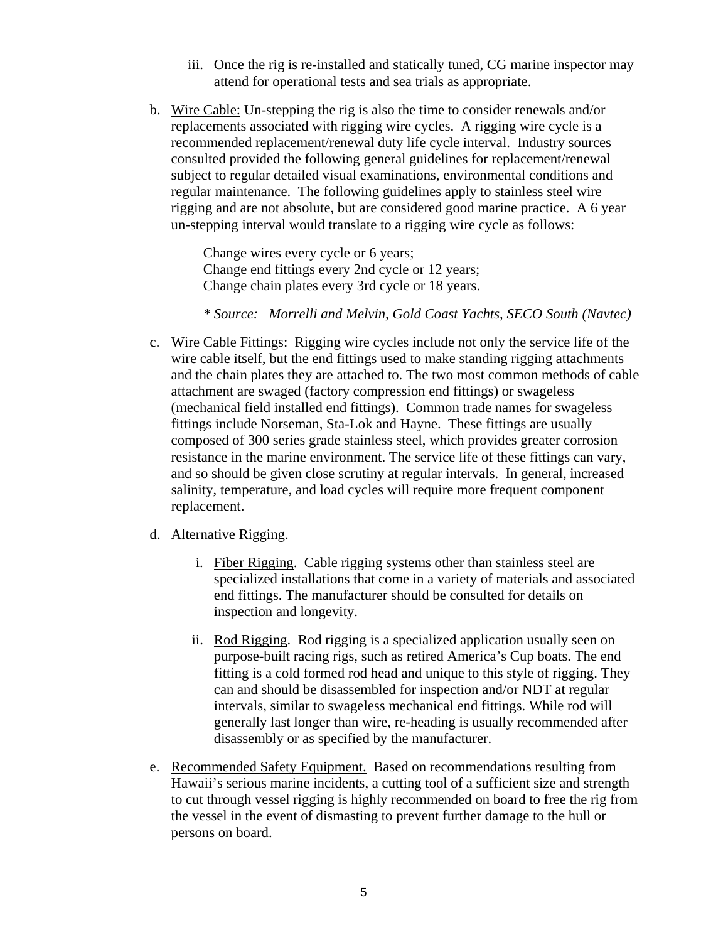- iii. Once the rig is re-installed and statically tuned, CG marine inspector may attend for operational tests and sea trials as appropriate.
- b. Wire Cable: Un-stepping the rig is also the time to consider renewals and/or replacements associated with rigging wire cycles. A rigging wire cycle is a recommended replacement/renewal duty life cycle interval. Industry sources consulted provided the following general guidelines for replacement/renewal subject to regular detailed visual examinations, environmental conditions and regular maintenance. The following guidelines apply to stainless steel wire rigging and are not absolute, but are considered good marine practice. A 6 year un-stepping interval would translate to a rigging wire cycle as follows:

Change end fittings every 2nd cycle or 12 years; Change wires every cycle or 6 years; Change chain plates every 3rd cycle or 18 years.

 *\* Source: Morrelli and Melvin, Gold Coast Yachts, SECO South (Navtec)* 

c. Wire Cable Fittings: Rigging wire cycles include not only the service life of the wire cable itself, but the end fittings used to make standing rigging attachment s and the chain plates they are attached to. The two most common methods of cab le attachment are swaged (factory compression end fittings) or swageless (mechanical field installed end fittings). Common trade names for swageless fittings include Norseman, Sta-Lok and Hayne. These fittings are usually composed of 300 series grade stainless steel, which provides greater corrosio n resistance in th e marine environment. The service life of these fittings can vary, and so should be given close scrutiny at regular intervals. In general, increased salinity, temperature, and load cycles will require more frequent component repl acement.

#### d. Alternative Rigging.

- i. Fiber Rigging. Cable rigging systems other than stainless steel are specialized installations that come in a variety of materials and associated end fittings. The manufacturer should be consulted for details on inspection and longevity.
- ii. Rod Rigging. Rod rigging is a specialized application usually seen on purpose-built racing rigs, such as retired America's Cup boats. The end fitting is a cold formed rod head and unique to this style of rigging. They can and should be disassembled for inspection and/or NDT at regular intervals, similar to swageless mechanical end fittings. While rod will generally last longer than wire, re-heading is usually recommended after disassembly or as specified by the manufacturer.
- e. Recommended Safety Equipment. Based on recommendations resulting from Hawaii's serious marine incidents, a cutting tool of a sufficient size and strength to cut through vessel rigging is highly recommended on board to free the rig from the vessel in the event of dismasting to prevent further damage to the hull or persons on board.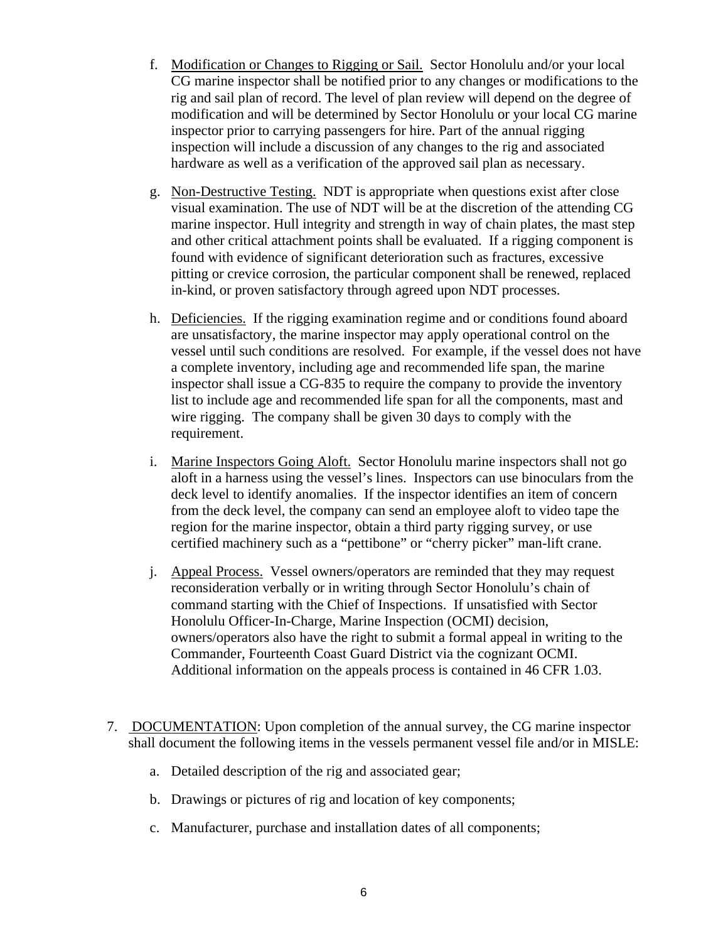- f. Modification or Changes to Rigging or Sail. Sector Honolulu and/or your local CG marine inspector shall be notified prior to any changes or modifications t o the rig and sail plan of record. The level of plan review will depend on the de gree of modification and will be determined by Sector Honolulu or your local CG marine inspector prior to carrying passengers for hire. Part of the annual rigging inspection will include a discussion of any changes to the rig and associated hardware as well as a verification of the approved sail plan as necessary.
- g. Non-Destructive Testing. NDT is appropriate when questions exist after clos e visual examination. The use of NDT will be at the discretion of the attending CG marine inspector. Hull integrity and strength in way of chain plates, the mast step and other critical attachment points shall be evaluated. If a rigging component is pitting or crevice corrosion, the particular component shall be renewed, replaced found with evidence of significant deterioration such as fractures, excessive in-kind, or proven satisfactory through agreed upon NDT processes.
- h. Deficiencies. If the rigging examination regime and or conditions found aboard are unsatisfactory, the marine inspector may apply operational control on the vessel until such conditions are resolved. For example, if the vessel do es not have a complete inv entory, including age and recommended life span, the marine inspector shall issue a CG-835 to require the company to provide the inventory list to include age and recommended life span for all the components, mast and wire rigging. The company shall be given 30 days to comply with the requirement.
- i. Marine Inspectors Going Aloft. Sector Honolulu marine inspectors shall not go aloft in a harness using the vessel's lines. Inspectors can use binoculars from the deck level to identify anomalies. If the inspector identifies an item of concern from the deck level, the company can send an employee aloft to video tape the region for the marine inspector, obtain a third party rigging survey, or use certified machinery such as a "pettibone" or "cherry picker" man-lift crane.
- j. Appeal Process. Vessel owners/operators are reminded that they may request reconsideration verbally or in writing through Sector Honolulu's chain of command starting with the Chief of Inspections. If unsatisfied with Sector Honolulu Officer-In-Charge, Marine Inspection (OCMI) decision, owners/operators also have the right to submit a formal appeal in writing to the Commander, Fourteenth Coast Guard District via the cognizant OCMI. Additional information on the appeals process is contained in 46 CFR 1.03.
- 7. DOCUMENTATION: Upon completion of the annual survey, the CG marine inspector shall document the following items in the vessels permanent vessel file and/or in MISLE:
	- a. Detailed description of the rig and associated gear;
	- b. Drawings or pictures of rig and location of key components;
	- c. Manufacturer, purchase and installation dates of all components;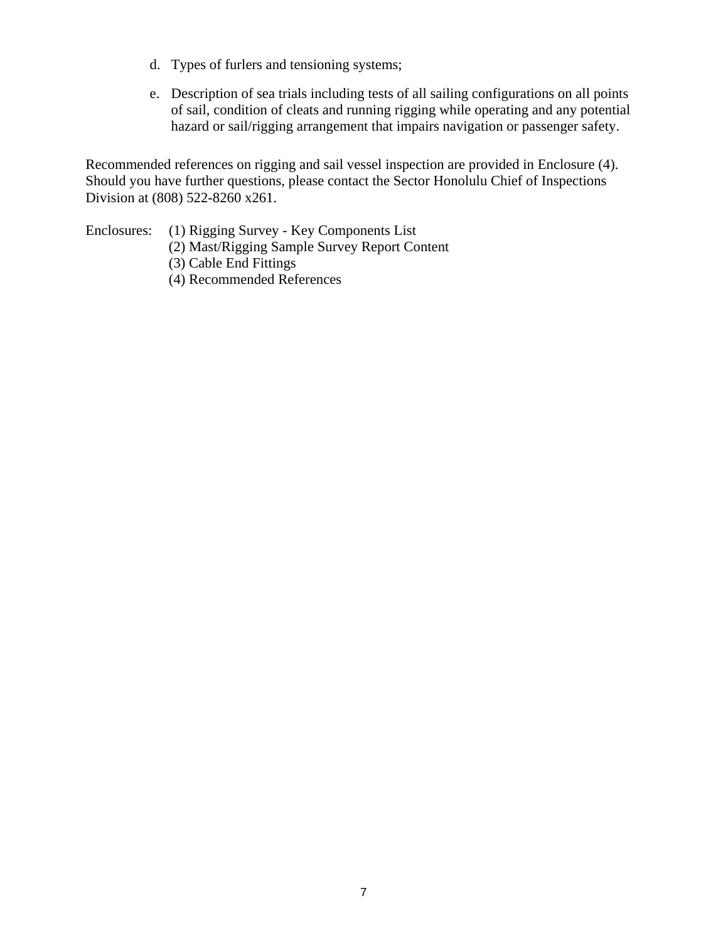- d. Types of furlers and tensioning systems;
- e. Description of sea trials including tests of all sailing configurations on all points of sail, condition of cleats and running rigging while operating and any potential hazard or sail/rigging arrangement that impairs navigation or passenger safety.

Recommended references on rigging and sail vessel inspection are provided in Enclosure (4). Should you have further questions, please contact the Sector Honolulu Chief of Inspections Division at (808) 522-8260 x261.

- Enclosures: (1) Rigging Survey Key Components List
	- (2) Mast/Rigging Sample Survey Report Content
	- (3) Cable End Fittings
	- (4) Recommended References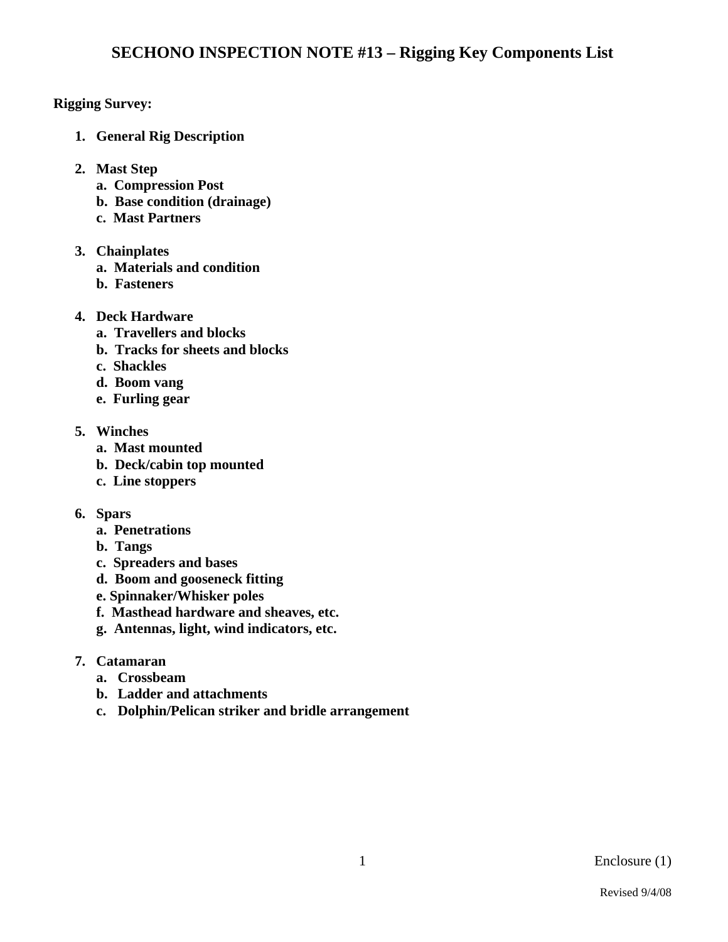# **Rigging Survey:**

- **1. General Rig Description**
- **2. Mast Step** 
	- **a. Compression Post**
	- **b. Base condition (drainage)**
	- **c. Mast Partners**
- **3. Chainplates** 
	- **a. Materials and condition**
	- **b. Fasteners**
- **4. Deck Hardware** 
	- **a. Travellers and blocks**
	- **b. Tracks for sheets and blocks**
	- **c. Shackles**
	- **d. Boom vang**
	- **e. Furling gear**
- **5. Winches** 
	- **a. Mast mounted**
	- **b. Deck/cabin top mounted**
	- **c. Line stoppers**
- **6. Spars** 
	- **a. Penetrations**
	- **b. Tangs**
	- **c. Spreaders and bases**
	- **d. Boom and gooseneck fitting**
	- **e. Spinnaker/Whisker poles**
	- **f. Masthead hardware and sheaves, etc.**
	- **g. Antennas, light, wind indicators, etc.**
- **7. Catamaran** 
	- **a. Crossbeam**
	- **b. Ladder and attachments**
	- **c. Dolphin/Pelican striker and bridle arrangement**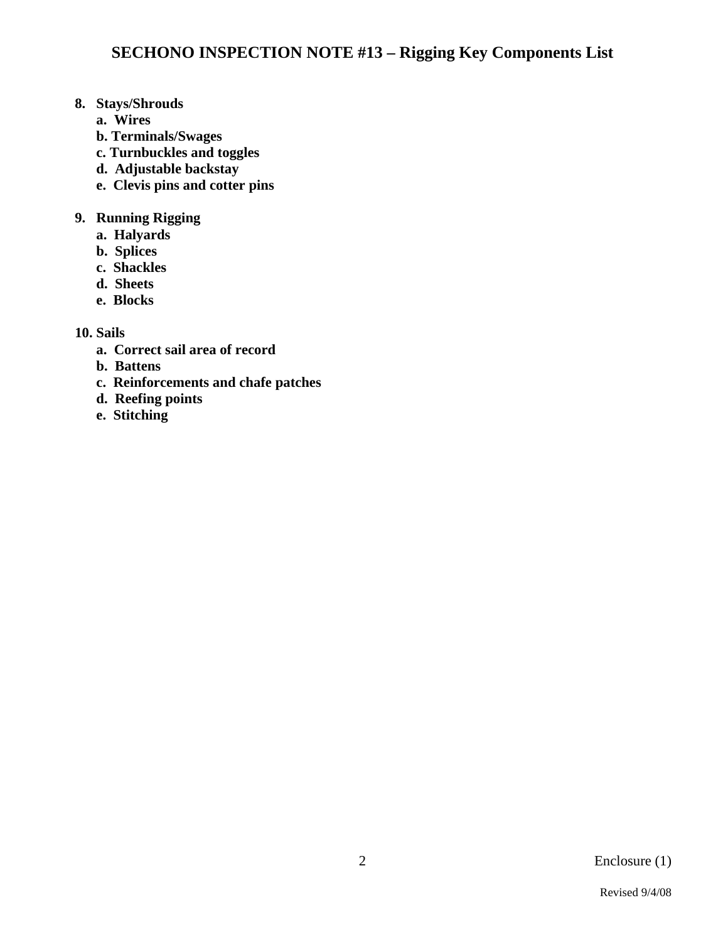# **8. Stays/Shrouds**

- **a. Wires**
- **b. Terminals/Swages**
- **c. Turnbuckles and toggles**
- **d. Adjustable backstay**
- **e. Clevis pins and cotter pins**

# **9. Running Rigging**

- **a. Halyards**
- **b. Splices**
- **c. Shackles**
- **d. Sheets**
- **e. Blocks**

# **10. Sails**

- **a. Correct sail area of record**
- **b. Battens**
- **c. Reinforcements and chafe patches**
- **d. Reefing points**
- **e. Stitching**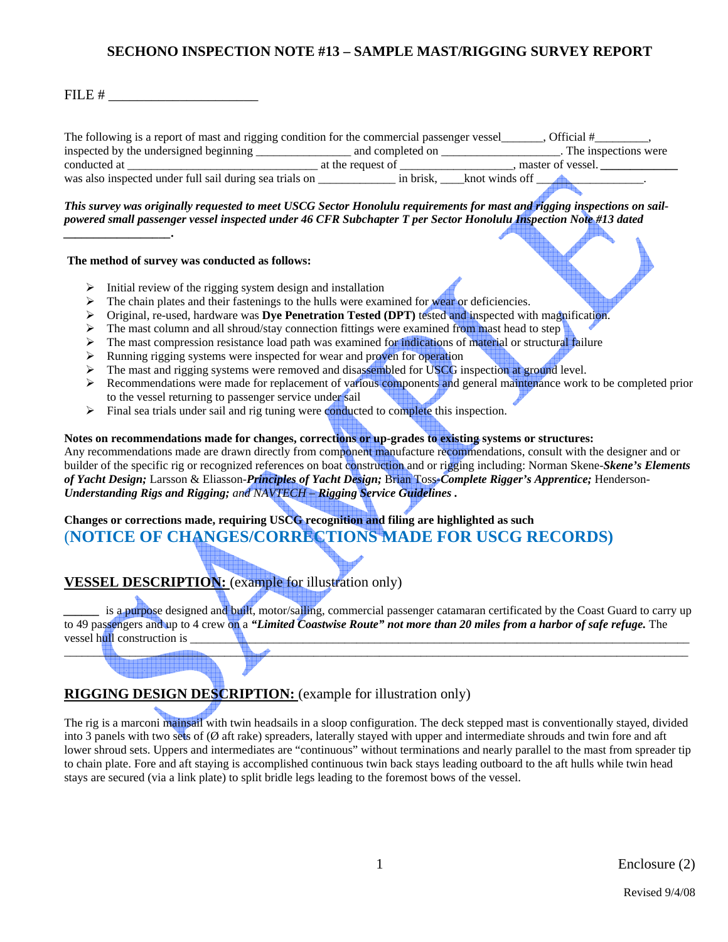### FILE  $\#$

*\_\_\_\_\_\_\_\_\_\_\_\_\_\_\_\_\_\_.* 

The following is a report of mast and rigging condition for the commercial passenger vessel\_\_\_\_\_\_, Official #\_\_\_\_\_\_ inspected by the undersigned beginning \_\_\_\_\_\_\_\_\_\_\_\_\_\_\_\_ and completed on \_\_\_\_\_\_\_\_\_\_\_\_\_\_\_\_\_\_\_\_. The inspections were conducted at  $\frac{1}{\sqrt{2}}$  at the request of  $\frac{1}{\sqrt{2}}$ , master of vessel.  $\frac{1}{\sqrt{2}}$ was also inspected under full sail during sea trials on \_\_\_\_\_\_\_\_\_\_\_\_\_\_ in brisk, \_\_\_\_knot winds off \_\_\_\_\_\_\_\_\_\_\_\_.

*This survey was originally requested to meet USCG Sector Honolulu requirements for mast and rigging inspections on sailpowered small passenger vessel inspected under 46 CFR Subchapter T per Sector Honolulu Inspection Note #13 dated* 

#### **The method of survey was conducted as follows:**

- $\triangleright$  Initial review of the rigging system design and installation
- $\triangleright$  The chain plates and their fastenings to the hulls were examined for wear or deficiencies.
- ¾ Original, re-used, hardware was **Dye Penetration Tested (DPT)** tested and inspected with magnification.
- $\triangleright$  The mast column and all shroud/stay connection fittings were examined from mast head to step
- ¾ The mast compression resistance load path was examined for indications of material or structural failure
- $\triangleright$  Running rigging systems were inspected for wear and proven for operation
- $\triangleright$  The mast and rigging systems were removed and disassembled for USCG inspection at ground level.
- $\triangleright$  Recommendations were made for replacement of various components and general maintenance work to be completed prior to the vessel returning to passenger service under sail
- $\triangleright$  Final sea trials under sail and rig tuning were conducted to complete this inspection.

#### **Notes on recommendations made for changes, corrections or up-grades to existing systems or structures:**

Any recommendations made are drawn directly from component manufacture recommendations, consult with the designer and or builder of the specific rig or recognized references on boat construction and or rigging including: Norman Skene-*Skene's Elements of Yacht Design;* Larsson & Eliasson-*Principles of Yacht Design;* Brian Toss-*Complete Rigger's Apprentice;* Henderson-*Understanding Rigs and Rigging; and NAVTECH – Rigging Service Guidelines .* 

# **Changes or corrections made, requiring USCG recognition and filing are highlighted as such**  (**NOTICE OF CHANGES/CORRECTIONS MADE FOR USCG RECORDS)**

# **VESSEL DESCRIPTION:** (example for illustration only)

is a purpose designed and built, motor/sailing, commercial passenger catamaran certificated by the Coast Guard to carry up to 49 passengers and up to 4 crew on a *"Limited Coastwise Route" not more than 20 miles from a harbor of safe refuge.* The vessel hull construction is \_\_\_\_\_\_\_\_\_\_\_\_\_\_\_\_\_\_\_\_\_\_\_\_\_\_\_\_\_\_\_\_\_\_\_\_\_\_\_\_\_\_\_\_\_\_\_\_\_\_\_\_\_\_\_\_\_\_\_\_\_\_\_\_\_\_\_\_\_\_\_\_\_\_\_\_\_\_\_\_\_\_\_\_

 $\Box$ 

# **RIGGING DESIGN DESCRIPTION:** (example for illustration only)

The rig is a marconi mainsail with twin headsails in a sloop configuration. The deck stepped mast is conventionally stayed, divided into 3 panels with two sets of (Ø aft rake) spreaders, laterally stayed with upper and intermediate shrouds and twin fore and aft lower shroud sets. Uppers and intermediates are "continuous" without terminations and nearly parallel to the mast from spreader tip to chain plate. Fore and aft staying is accomplished continuous twin back stays leading outboard to the aft hulls while twin head stays are secured (via a link plate) to split bridle legs leading to the foremost bows of the vessel.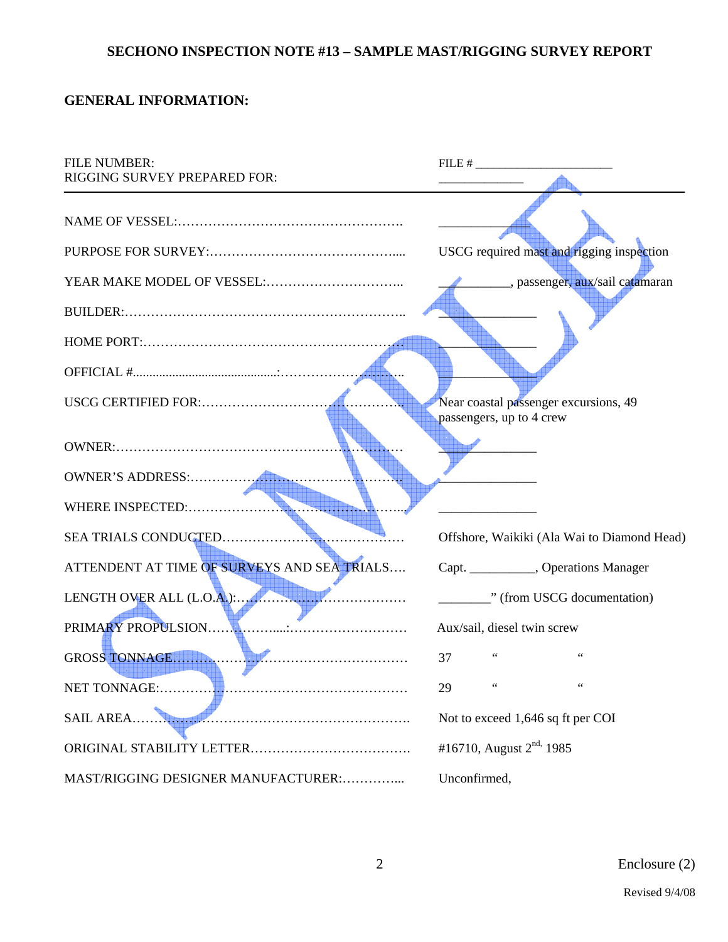# **GENERAL INFORMATION:**

| <b>FILE NUMBER:</b><br>RIGGING SURVEY PREPARED FOR: | $FILE \#$                                                         |  |  |
|-----------------------------------------------------|-------------------------------------------------------------------|--|--|
|                                                     | USCG required mast and rigging inspection                         |  |  |
|                                                     | passenger, aux/sail catamaran                                     |  |  |
|                                                     |                                                                   |  |  |
|                                                     |                                                                   |  |  |
| USCG CERTIFIED FOR:                                 | Near coastal passenger excursions, 49<br>passengers, up to 4 crew |  |  |
|                                                     |                                                                   |  |  |
|                                                     |                                                                   |  |  |
|                                                     |                                                                   |  |  |
|                                                     | Offshore, Waikiki (Ala Wai to Diamond Head)                       |  |  |
| ATTENDENT AT TIME OF SURVEYS AND SEA TRIALS         | Capt. ___________, Operations Manager                             |  |  |
|                                                     | " (from USCG documentation)                                       |  |  |
| PRIMARY PROPULSION                                  | Aux/sail, diesel twin screw                                       |  |  |
| GROSS TONNAGE                                       | 37                                                                |  |  |
| NET TONNAGE:                                        | 29                                                                |  |  |
| <b>SAIL AREA.</b>                                   | Not to exceed 1,646 sq ft per COI                                 |  |  |
|                                                     | #16710, August $2^{nd}$ , 1985                                    |  |  |
| MAST/RIGGING DESIGNER MANUFACTURER:                 | Unconfirmed,                                                      |  |  |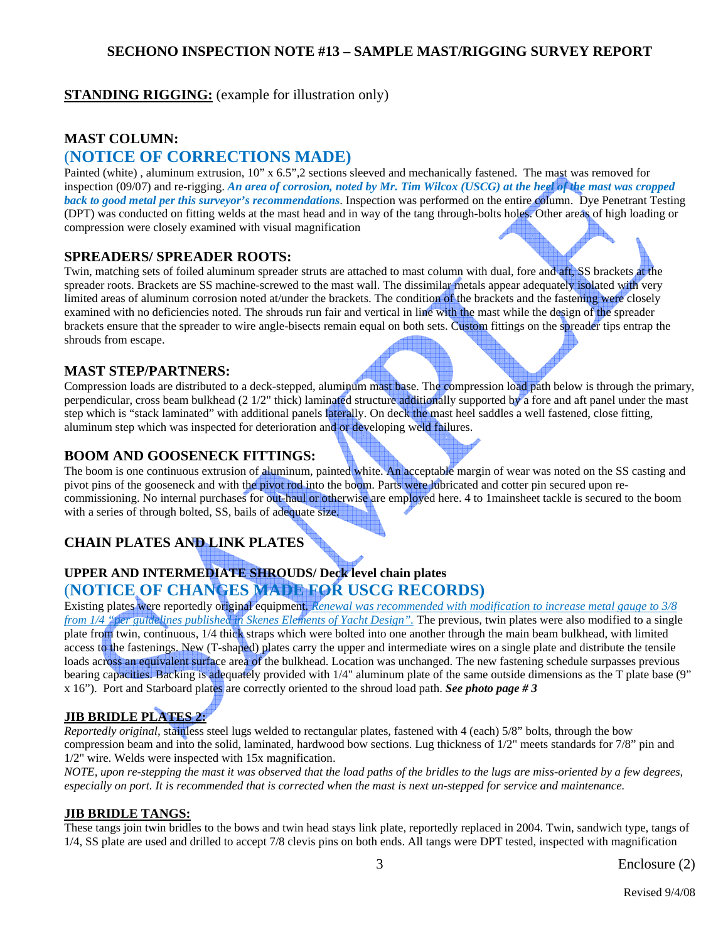# **STANDING RIGGING:** (example for illustration only)

#### **MAST COLUMN:**

# (**NOTICE OF CORRECTIONS MADE)**

Painted (white) , aluminum extrusion, 10" x 6.5",2 sections sleeved and mechanically fastened. The mast was removed for inspection (09/07) and re-rigging. *An area of corrosion, noted by Mr. Tim Wilcox (USCG) at the heel of the mast was cropped back to good metal per this surveyor's recommendations*. Inspection was performed on the entire column. Dye Penetrant Testing (DPT) was conducted on fitting welds at the mast head and in way of the tang through-bolts holes. Other areas of high loading or compression were closely examined with visual magnification

#### **SPREADERS/ SPREADER ROOTS:**

Twin, matching sets of foiled aluminum spreader struts are attached to mast column with dual, fore and aft, SS brackets at the spreader roots. Brackets are SS machine-screwed to the mast wall. The dissimilar metals appear adequately isolated with very limited areas of aluminum corrosion noted at/under the brackets. The condition of the brackets and the fastening were closely examined with no deficiencies noted. The shrouds run fair and vertical in line with the mast while the design of the spreader brackets ensure that the spreader to wire angle-bisects remain equal on both sets. Custom fittings on the spreader tips entrap the shrouds from escape.

#### **MAST STEP/PARTNERS:**

Compression loads are distributed to a deck-stepped, aluminum mast base. The compression load path below is through the primary, perpendicular, cross beam bulkhead (2 1/2" thick) laminated structure additionally supported by a fore and aft panel under the mast step which is "stack laminated" with additional panels laterally. On deck the mast heel saddles a well fastened, close fitting, aluminum step which was inspected for deterioration and or developing weld failures.

#### **BOOM AND GOOSENECK FITTINGS:**

The boom is one continuous extrusion of aluminum, painted white. An acceptable margin of wear was noted on the SS casting and pivot pins of the gooseneck and with the pivot rod into the boom. Parts were lubricated and cotter pin secured upon recommissioning. No internal purchases for out-haul or otherwise are employed here. 4 to 1mainsheet tackle is secured to the boom with a series of through bolted, SS, bails of adequate size.

# **CHAIN PLATES AND LINK PLATES**

# **UPPER AND INTERMEDIATE SHROUDS/ Deck level chain plates**  (**NOTICE OF CHANGES MADE FOR USCG RECORDS)**

Existing plates were reportedly original equipment. *Renewal was recommended with modification to increase metal gauge to 3/8 from 1/4 "per guidelines published in Skenes Elements of Yacht Design".* The previous, twin plates were also modified to a single plate from twin, continuous, 1/4 thick straps which were bolted into one another through the main beam bulkhead, with limited access to the fastenings. New (T-shaped) plates carry the upper and intermediate wires on a single plate and distribute the tensile loads across an equivalent surface area of the bulkhead. Location was unchanged. The new fastening schedule surpasses previous bearing capacities. Backing is adequately provided with 1/4" aluminum plate of the same outside dimensions as the T plate base (9" x 16"). Port and Starboard plates are correctly oriented to the shroud load path. *See photo page # 3* 

# **JIB BRIDLE PLATES 2:**

*Reportedly original,* stainless steel lugs welded to rectangular plates, fastened with 4 (each) 5/8" bolts, through the bow compression beam and into the solid, laminated, hardwood bow sections. Lug thickness of 1/2" meets standards for 7/8" pin and 1/2" wire. Welds were inspected with 15x magnification.

*NOTE, upon re-stepping the mast it was observed that the load paths of the bridles to the lugs are miss-oriented by a few degrees, especially on port. It is recommended that is corrected when the mast is next un-stepped for service and maintenance.* 

#### **JIB BRIDLE TANGS:**

These tangs join twin bridles to the bows and twin head stays link plate, reportedly replaced in 2004. Twin, sandwich type, tangs of 1/4, SS plate are used and drilled to accept 7/8 clevis pins on both ends. All tangs were DPT tested, inspected with magnification

Enclosure (2)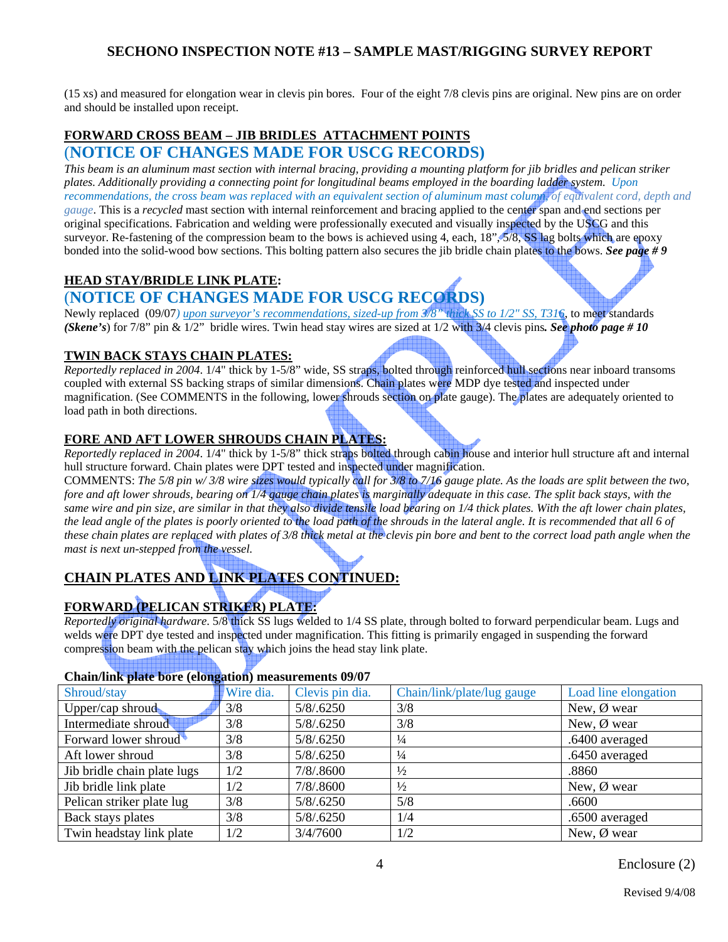(15 xs) and measured for elongation wear in clevis pin bores. Four of the eight 7/8 clevis pins are original. New pins are on order and should be installed upon receipt.

#### **FORWARD CROSS BEAM – JIB BRIDLES ATTACHMENT POINTS** (**NOTICE OF CHANGES MADE FOR USCG RECORDS)**

*This beam is an aluminum mast section with internal bracing, providing a mounting platform for jib bridles and pelican striker plates. Additionally providing a connecting point for longitudinal beams employed in the boarding ladder system. Upon recommendations, the cross beam was replaced with an equivalent section of aluminum mast column, of equivalent cord, depth and gauge*. This is a *recycled* mast section with internal reinforcement and bracing applied to the center span and end sections per original specifications. Fabrication and welding were professionally executed and visually inspected by the USCG and this surveyor. Re-fastening of the compression beam to the bows is achieved using 4, each, 18", 5/8, SS lag bolts which are epoxy bonded into the solid-wood bow sections. This bolting pattern also secures the jib bridle chain plates to the bows. *See page # 9*

### **HEAD STAY/BRIDLE LINK PLATE:**

# (**NOTICE OF CHANGES MADE FOR USCG RECORDS)**

Newly replaced (09/07*) upon surveyor's recommendations, sized-up from 3/8" thick SS to 1/2" SS, T316*, to meet standards *(Skene's*) for 7/8" pin & 1/2" bridle wires. Twin head stay wires are sized at 1/2 with 3/4 clevis pins*. See photo page # 10* 

#### **TWIN BACK STAYS CHAIN PLATES:**

*Reportedly replaced in 2004*. 1/4" thick by 1-5/8" wide, SS straps, bolted through reinforced hull sections near inboard transoms coupled with external SS backing straps of similar dimensions. Chain plates were MDP dye tested and inspected under magnification. (See COMMENTS in the following, lower shrouds section on plate gauge). The plates are adequately oriented to load path in both directions.

#### **FORE AND AFT LOWER SHROUDS CHAIN PLATES:**

*Reportedly replaced in 2004*. 1/4" thick by 1-5/8" thick straps bolted through cabin house and interior hull structure aft and internal hull structure forward. Chain plates were DPT tested and inspected under magnification.

COMMENTS: *The 5/8 pin w/ 3/8 wire sizes would typically call for 3/8 to 7/16 gauge plate. As the loads are split between the two, fore and aft lower shrouds, bearing on 1/4 gauge chain plates is marginally adequate in this case. The split back stays, with the same wire and pin size, are similar in that they also divide tensile load bearing on 1/4 thick plates. With the aft lower chain plates, the lead angle of the plates is poorly oriented to the load path of the shrouds in the lateral angle. It is recommended that all 6 of these chain plates are replaced with plates of 3/8 thick metal at the clevis pin bore and bent to the correct load path angle when the mast is next un-stepped from the vessel.* 

# **CHAIN PLATES AND LINK PLATES CONTINUED:**

# **FORWARD (PELICAN STRIKER) PLATE:**

*Reportedly original hardware*. 5/8 thick SS lugs welded to 1/4 SS plate, through bolted to forward perpendicular beam. Lugs and welds were DPT dye tested and inspected under magnification. This fitting is primarily engaged in suspending the forward compression beam with the pelican stay which joins the head stay link plate.

#### **Chain/link plate bore (elongation) measurements 09/07**

| Shroud/stay                 | $\sim$<br><b>Wire dia.</b> | Clevis pin dia. | Chain/link/plate/lug gauge | Load line elongation  |
|-----------------------------|----------------------------|-----------------|----------------------------|-----------------------|
| Upper/cap shroud            | 3/8                        | 5/8/0.6250      | 3/8                        | New, $\emptyset$ wear |
| Intermediate shroud         | 3/8                        | 5/8/0.6250      | 3/8                        | New, $\emptyset$ wear |
| Forward lower shroud        | 3/8                        | 5/8/.6250       | $\frac{1}{4}$              | .6400 averaged        |
| Aft lower shroud            | 3/8                        | 5/8/0.6250      | $\frac{1}{4}$              | .6450 averaged        |
| Jib bridle chain plate lugs | 1/2                        | 7/8/.8600       | $\frac{1}{2}$              | .8860                 |
| Jib bridle link plate       | 1/2                        | 7/8/.8600       | $\frac{1}{2}$              | New, $\emptyset$ wear |
| Pelican striker plate lug   | 3/8                        | 5/8/.6250       | 5/8                        | .6600                 |
| Back stays plates           | 3/8                        | 5/8/0.6250      | 1/4                        | .6500 averaged        |
| Twin headstay link plate    | 1/2                        | 3/4/7600        | 1/2                        | New, $\emptyset$ wear |

Enclosure (2)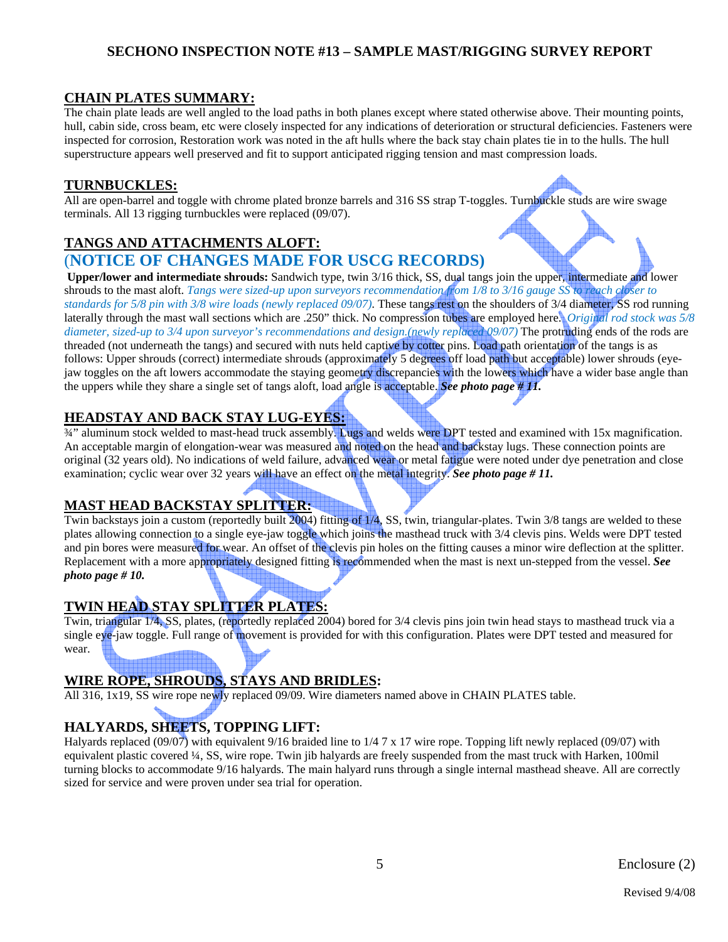# **CHAIN PLATES SUMMARY:**

The chain plate leads are well angled to the load paths in both planes except where stated otherwise above. Their mounting points, hull, cabin side, cross beam, etc were closely inspected for any indications of deterioration or structural deficiencies. Fasteners were inspected for corrosion, Restoration work was noted in the aft hulls where the back stay chain plates tie in to the hulls. The hull superstructure appears well preserved and fit to support anticipated rigging tension and mast compression loads.

### **TURNBUCKLES:**

All are open-barrel and toggle with chrome plated bronze barrels and 316 SS strap T-toggles. Turnbuckle studs are wire swage terminals. All 13 rigging turnbuckles were replaced (09/07).

# **TANGS AND ATTACHMENTS ALOFT:**

# (**NOTICE OF CHANGES MADE FOR USCG RECORDS)**

 **Upper/lower and intermediate shrouds:** Sandwich type, twin 3/16 thick, SS, dual tangs join the upper, intermediate and lower shrouds to the mast aloft. *Tangs were sized-up upon surveyors recommendation from 1/8 to 3/16 gauge SS to reach closer to standards for 5/8 pin with 3/8 wire loads (newly replaced 09/07)*. These tangs rest on the shoulders of 3/4 diameter, SS rod running laterally through the mast wall sections which are .250" thick. No compression tubes are employed here. *Original rod stock was 5/8 diameter, sized-up to 3/4 upon surveyor's recommendations and design.(newly replaced 09/07)* The protruding ends of the rods are threaded (not underneath the tangs) and secured with nuts held captive by cotter pins. Load path orientation of the tangs is as follows: Upper shrouds (correct) intermediate shrouds (approximately 5 degrees off load path but acceptable) lower shrouds (eyejaw toggles on the aft lowers accommodate the staying geometry discrepancies with the lowers which have a wider base angle than the uppers while they share a single set of tangs aloft, load angle is acceptable. *See photo page # 11.*

**HEADSTAY AND BACK STAY LUG-EYES:**<br><sup>34"</sup> aluminum stock welded to mast-head truck assembly. Lugs and welds were DPT tested and examined with 15x magnification. An acceptable margin of elongation-wear was measured and noted on the head and backstay lugs. These connection points are original (32 years old). No indications of weld failure, advanced wear or metal fatigue were noted under dye penetration and close examination; cyclic wear over 32 years will have an effect on the metal integrity. *See photo page # 11.*

# **MAST HEAD BACKSTAY SPLITTER:**

Twin backstays join a custom (reportedly built 2004) fitting of 1/4, SS, twin, triangular-plates. Twin 3/8 tangs are welded to these plates allowing connection to a single eye-jaw toggle which joins the masthead truck with 3/4 clevis pins. Welds were DPT tested and pin bores were measured for wear. An offset of the clevis pin holes on the fitting causes a minor wire deflection at the splitter. Replacement with a more appropriately designed fitting is recommended when the mast is next un-stepped from the vessel. *See photo page # 10.*

# **TWIN HEAD STAY SPLITTER PLATES:**

Twin, triangular 1/4, SS, plates, (reportedly replaced 2004) bored for 3/4 clevis pins join twin head stays to masthead truck via a single eye-jaw toggle. Full range of movement is provided for with this configuration. Plates were DPT tested and measured for wear.

# **WIRE ROPE, SHROUDS, STAYS AND BRIDLES:**

All 316, 1x19, SS wire rope newly replaced 09/09. Wire diameters named above in CHAIN PLATES table.

# **HALYARDS, SHEETS, TOPPING LIFT:**

Halyards replaced (09/07) with equivalent 9/16 braided line to 1/4 7 x 17 wire rope. Topping lift newly replaced (09/07) with equivalent plastic covered ¼, SS, wire rope. Twin jib halyards are freely suspended from the mast truck with Harken, 100mil turning blocks to accommodate 9/16 halyards. The main halyard runs through a single internal masthead sheave. All are correctly sized for service and were proven under sea trial for operation.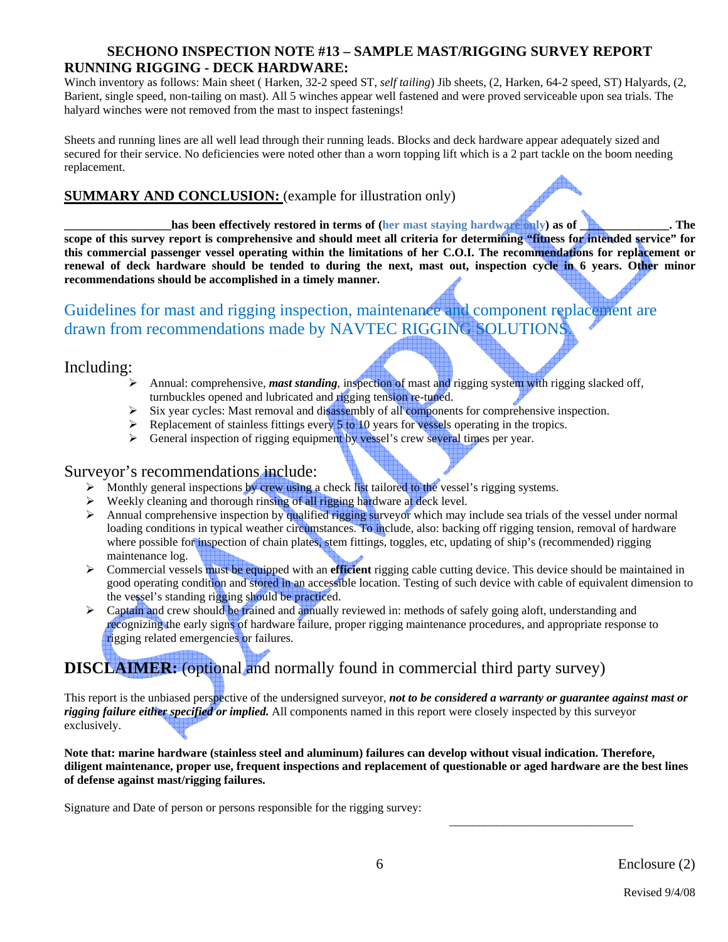# **SECHONO INSPECTION NOTE #13 – SAMPLE MAST/RIGGING SURVEY REPORT RUNNING RIGGING - DECK HARDWARE:**

Winch inventory as follows: Main sheet ( Harken, 32-2 speed ST, *self tailing*) Jib sheets, (2, Harken, 64-2 speed, ST) Halyards, (2, Barient, single speed, non-tailing on mast). All 5 winches appear well fastened and were proved serviceable upon sea trials. The halyard winches were not removed from the mast to inspect fastenings!

Sheets and running lines are all well lead through their running leads. Blocks and deck hardware appear adequately sized and secured for their service. No deficiencies were noted other than a worn topping lift which is a 2 part tackle on the boom needing replacement.

# **SUMMARY AND CONCLUSION:** (example for illustration only)

**has been effectively restored in terms of (her mast staying hardware only) as of \_\_\_\_\_\_\_\_\_\_\_\_\_. The scope of this survey report is comprehensive and should meet all criteria for determining "fitness for intended service" for this commercial passenger vessel operating within the limitations of her C.O.I. The recommendations for replacement or renewal of deck hardware should be tended to during the next, mast out, inspection cycle in 6 years. Other minor recommendations should be accomplished in a timely manner.** 

# Guidelines for mast and rigging inspection, maintenance and component replacement are drawn from recommendations made by NAVTEC RIGGING SOLUTIONS

# Including:

- Annual: comprehensive, *mast standing*, inspection of mast and rigging system with rigging slacked off, turnbuckles opened and lubricated and rigging tension re-tuned.
- $\triangleright$  Six year cycles: Mast removal and disassembly of all components for comprehensive inspection.
- $\triangleright$  Replacement of stainless fittings every 5 to 10 years for vessels operating in the tropics.
- ¾ General inspection of rigging equipment by vessel's crew several times per year.

#### Surveyor's recommendations include:

- > Monthly general inspections by crew using a check list tailored to the vessel's rigging systems.
- $\triangleright$  Weekly cleaning and thorough rinsing of all rigging hardware at deck level.
- $\triangleright$  Annual comprehensive inspection by qualified rigging surveyor which may include sea trials of the vessel under normal loading conditions in typical weather circumstances. To include, also: backing off rigging tension, removal of hardware where possible for inspection of chain plates, stem fittings, toggles, etc, updating of ship's (recommended) rigging maintenance log.
- ¾ Commercial vessels must be equipped with an **efficient** rigging cable cutting device. This device should be maintained in good operating condition and stored in an accessible location. Testing of such device with cable of equivalent dimension to the vessel's standing rigging should be practiced.
- $\triangleright$  Captain and crew should be trained and annually reviewed in: methods of safely going aloft, understanding and recognizing the early signs of hardware failure, proper rigging maintenance procedures, and appropriate response to rigging related emergencies or failures.

# **DISCLAIMER:** (optional and normally found in commercial third party survey)

This report is the unbiased perspective of the undersigned surveyor, *not to be considered a warranty or guarantee against mast or rigging failure either specified or implied.* All components named in this report were closely inspected by this surveyor exclusively.

**Note that: marine hardware (stainless steel and aluminum) failures can develop without visual indication. Therefore, diligent maintenance, proper use, frequent inspections and replacement of questionable or aged hardware are the best lines of defense against mast/rigging failures.** 

 $\overline{\phantom{a}}$  , and the contract of the contract of the contract of the contract of the contract of the contract of the contract of the contract of the contract of the contract of the contract of the contract of the contrac

Signature and Date of person or persons responsible for the rigging survey: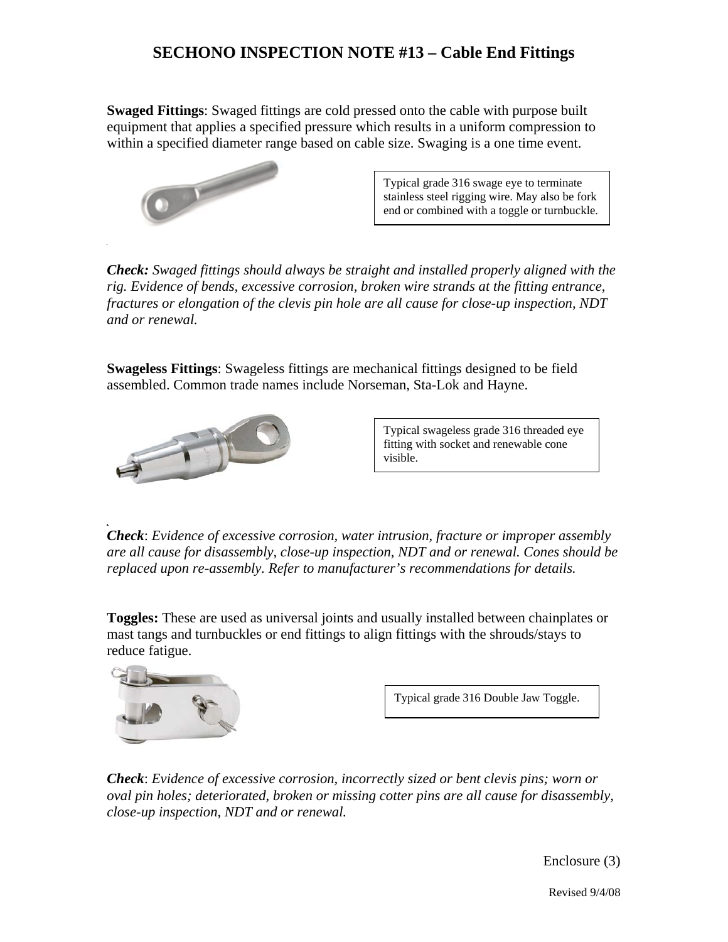# **SECHONO INSPECTION NOTE #13 – Cable End Fittings**

**Swaged Fittings**: Swaged fittings are cold pressed onto the cable with purpose built equipment that applies a specified pressure which results in a uniform compression to within a specified diameter range based on cable size. Swaging is a one time event.



Typical grade 316 swage eye to terminate stainless steel rigging wire. May also be fork end or combined with a toggle or turnbuckle.

*Check: Swaged fittings should always be straight and installed properly aligned with the rig. Evidence of bends, excessive corrosion, broken wire strands at the fitting entrance, fractures or elongation of the clevis pin hole are all cause for close-up inspection, NDT and or renewal.*

**Swageless Fittings**: Swageless fittings are mechanical fittings designed to be field assembled. Common trade names include Norseman, Sta-Lok and Hayne.



Typical swageless grade 316 threaded eye fitting with socket and renewable cone visible.

*Check*: *Evidence of excessive corrosion, water intrusion, fracture or improper assembly are all cause for disassembly, close-up inspection, NDT and or renewal. Cones should be replaced upon re-assembly. Refer to manufacturer's recommendations for details.* 

**Toggles:** These are used as universal joints and usually installed between chainplates or mast tangs and turnbuckles or end fittings to align fittings with the shrouds/stays to reduce fatigue.



Typical grade 316 Double Jaw Toggle.

*Check*: *Evidence of excessive corrosion, incorrectly sized or bent clevis pins; worn or oval pin holes; deteriorated, broken or missing cotter pins are all cause for disassembly, close-up inspection, NDT and or renewal.* 

Enclosure (3)